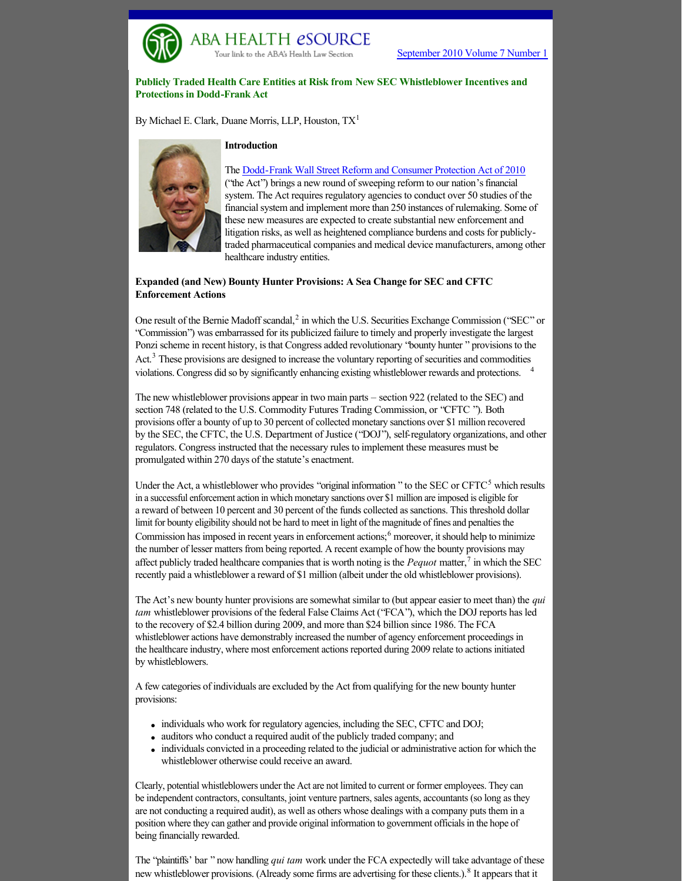

# **Publicly Traded Health Care Entities at Risk from New SEC Whistleblower Incentives and Protections in Dodd-Frank Act**

By Michael E. Clark, Duane Morris, LLP, Houston, TX[1](http://www.abanet.org/health/esource/Volume7/01/clark.html#_ftn1)



### **Introduction**

**ABA HEALTH eSOURCE** Your link to the ABA's Health Law Sectio

> The Dodd-Frank Wall Street Reform and Consumer Protection Act of 2010 ("the Act") brings a new round of sweeping reform to our nation's financial system. The Act requires regulatory agencies to conduct over 50 studies of the financial system and implement more than 250 instances of rulemaking. Some of these new measures are expected to create substantial new enforcement and litigation risks, as well as heightened compliance burdens and costs for publiclytraded pharmaceutical companies and medical device manufacturers, among other healthcare industry entities.

## **Expanded (and New) Bounty Hunter Provisions: A Sea Change for SEC and CFTC Enforcement Actions**

One result of the Bernie Madoff scandal,<sup>[2](http://www.abanet.org/health/esource/Volume7/01/clark.html#_ftn2)</sup> in which the U.S. Securities Exchange Commission ("SEC" or "Commission") was embarrassed for its publicized failure to timely and properly investigate the largest Ponzi scheme in recent history, is that Congress added revolutionary "bounty hunter " provisions to the Act.<sup>[3](http://www.abanet.org/health/esource/Volume7/01/clark.html#_ftn3)</sup> These provisions are designed to increase the voluntary reporting of securities and commodities violations. Congress did so by significantly enhancing existing whistleblower rewards and protections. [4](http://www.abanet.org/health/esource/Volume7/01/clark.html#_ftn4)

The new whistleblower provisions appear in two main parts – section 922 (related to the SEC) and section 748 (related to the U.S. Commodity Futures Trading Commission, or "CFTC "). Both provisions offer a bounty of up to 30 percent of collected monetary sanctions over \$1 million recovered by the SEC, the CFTC, the U.S. Department of Justice ("DOJ"), self-regulatory organizations, and other regulators. Congress instructed that the necessary rules to implement these measures must be promulgated within 270 days of the statute's enactment.

Under the Act, a whistleblower who provides "original information" to the SEC or CFTC<sup>[5](http://www.abanet.org/health/esource/Volume7/01/clark.html#_ftn5)</sup> which results in a successful enforcement action in which monetary sanctions over \$1 million are imposed is eligible for a reward of between 10 percent and 30 percent of the funds collected as sanctions. This threshold dollar limit for bounty eligibility should not be hard to meet in light of the magnitude of fines and penalties the Commission has imposed in recent years in enforcement actions;<sup>[6](http://www.abanet.org/health/esource/Volume7/01/clark.html#_ftn6)</sup> moreover, it should help to minimize the number of lesser matters from being reported. A recent example of how the bounty provisions may affect publicly traded healthcare companies that is worth noting is the *Pequot* matter,[7](http://www.abanet.org/health/esource/Volume7/01/clark.html#_ftn7) in which the SEC recently paid a whistleblower a reward of \$1 million (albeit under the old whistleblower provisions).

The Act's new bounty hunter provisions are somewhat similar to (but appear easier to meet than) the *qui tam* whistleblower provisions of the federal False Claims Act ("FCA"), which the DOJ reports has led to the recovery of \$2.4 billion during 2009, and more than \$24 billion since 1986. The FCA whistleblower actions have demonstrably increased the number of agency enforcement proceedings in the healthcare industry, where most enforcement actions reported during 2009 relate to actions initiated by whistleblowers.

A few categories of individuals are excluded by the Act from qualifying for the new bounty hunter provisions:

- individuals who work for regulatory agencies, including the SEC, CFTC and DOJ;
- auditors who conduct a required audit of the publicly traded company; and
- <sup>l</sup> individuals convicted in a proceeding related to the judicial or administrative action for which the whistleblower otherwise could receive an award.

Clearly, potential whistleblowers under the Act are not limited to current or former employees. They can be independent contractors, consultants, joint venture partners, sales agents, accountants (so long as they are not conducting a required audit), as well as others whose dealings with a company puts them in a position where they can gather and provide original information to government officials in the hope of being financially rewarded.

The "plaintiffs' bar " now handling *qui tam* work under the FCA expectedly will take advantage of these new whistleblower provisions. (Already some firms are advertising for these clients.).<sup>[8](http://www.abanet.org/health/esource/Volume7/01/clark.html#_ftn8)</sup> It appears that it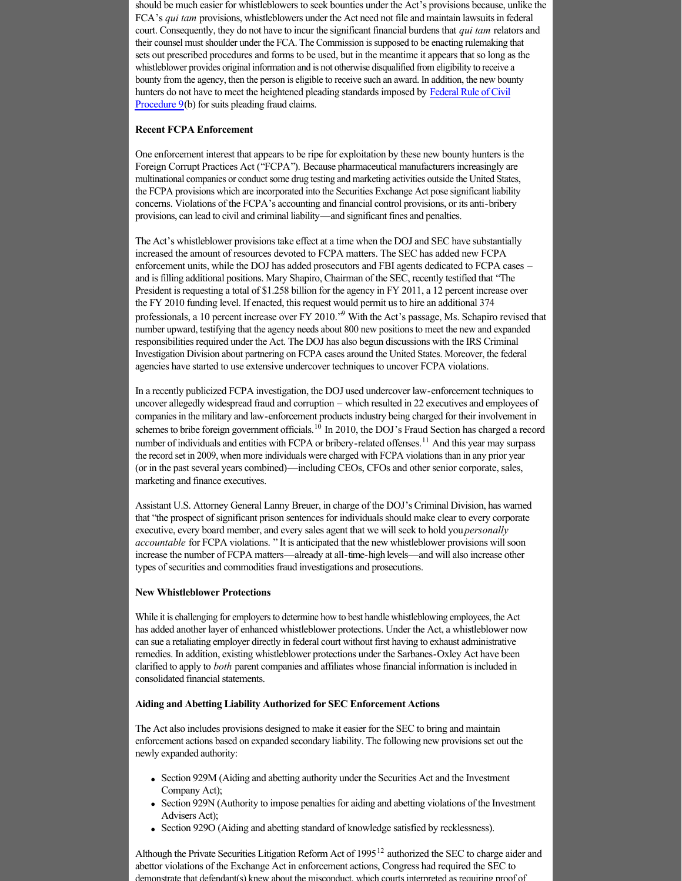should be much easier for whistleblowers to seek bounties under the Act's provisions because, unlike the FCA's *qui tam* provisions, whistleblowers under the Act need not file and maintain lawsuits in federal court. Consequently, they do not have to incur the significant financial burdens that *qui tam* relators and their counsel must shoulder under the FCA. The Commission is supposed to be enacting rulemaking that sets out prescribed procedures and forms to be used, but in the meantime it appears that so long as the whistleblower provides original information and is not otherwise disqualified from eligibility to receive a bounty from the agency, then the person is eligible to receive such an award. In addition, the new bounty [hunters do not have to meet the heightened pleading standards imposed by Federal Rule of Civil](http://www.jureeka.net/Jureeka/US.aspx?doc=FRCP&rule=9&bUrl=http://www.duanemorris.com/alerts/financial_reform_new_whistleblower_incentives_protections_3772.html) Procedure 9(b) for suits pleading fraud claims.

## **Recent FCPA Enforcement**

One enforcement interest that appears to be ripe for exploitation by these new bounty hunters is the Foreign Corrupt Practices Act ("FCPA"). Because pharmaceutical manufacturers increasingly are multinational companies or conduct some drug testing and marketing activities outside the United States, the FCPA provisions which are incorporated into the Securities Exchange Act pose significant liability concerns. Violations of the FCPA's accounting and financial control provisions, or its anti-bribery provisions, can lead to civil and criminal liability—and significant fines and penalties.

The Act's whistleblower provisions take effect at a time when the DOJ and SEC have substantially increased the amount of resources devoted to FCPA matters. The SEC has added new FCPA enforcement units, while the DOJ has added prosecutors and FBI agents dedicated to FCPA cases – and is filling additional positions. Mary Shapiro, Chairman of the SEC, recently testified that "The President is requesting a total of \$1.258 billion for the agency in FY 2011, a 12 percent increase over the FY 2010 funding level. If enacted, this request would permit us to hire an additional 374 professionals, a 10 percent increase over FY 2010."<sup>[9](http://www.abanet.org/health/esource/Volume7/01/clark.html#_ftn9)</sup> With the Act's passage, Ms. Schapiro revised that number upward, testifying that the agency needs about 800 new positions to meet the new and expanded responsibilities required under the Act. The DOJ has also begun discussions with the IRS Criminal Investigation Division about partnering on FCPA cases around the United States. Moreover, the federal agencies have started to use extensive undercover techniques to uncover FCPA violations.

In a recently publicized FCPA investigation, the DOJ used undercover lawenforcement techniques to uncover allegedly widespread fraud and corruption – which resulted in 22 executives and employees of companies in the military and lawenforcement products industry being charged for their involvement in schemes to bribe foreign government officials.<sup>[10](http://www.abanet.org/health/esource/Volume7/01/clark.html#_ftn10)</sup> In 2010, the DOJ's Fraud Section has charged a record number of individuals and entities with FCPA or bribery-related offenses.<sup>[11](http://www.abanet.org/health/esource/Volume7/01/clark.html#_ftn11)</sup> And this year may surpass the record set in 2009, when more individuals were charged with FCPA violations than in any prior year (or in the past several years combined)—including CEOs, CFOs and other senior corporate, sales, marketing and finance executives.

Assistant U.S. Attorney General Lanny Breuer, in charge of the DOJ's Criminal Division, has warned that "the prospect of significant prison sentences for individuals should make clear to every corporate executive, every board member, and every sales agent that we will seek to hold you *personally accountable* for FCPA violations. " It is anticipated that the new whistleblower provisions will soon increase the number of FCPA matters—already at all-time-high levels—and will also increase other types of securities and commodities fraud investigations and prosecutions.

## **New Whistleblower Protections**

While it is challenging for employers to determine how to best handle whistleblowing employees, the Act has added another layer of enhanced whistleblower protections. Under the Act, a whistleblower now can sue a retaliating employer directly in federal court without first having to exhaust administrative remedies. In addition, existing whistleblower protections under the Sarbanes-Oxley Act have been clarified to apply to *both* parent companies and affiliates whose financial information is included in consolidated financial statements.

#### **Aiding and Abetting Liability Authorized for SEC Enforcement Actions**

The Act also includes provisions designed to make it easier for the SEC to bring and maintain enforcement actions based on expanded secondary liability. The following new provisions set out the newly expanded authority:

- Section 929M (Aiding and abetting authority under the Securities Act and the Investment Company Act);
- <sup>l</sup> Section 929N (Authority to impose penalties for aiding and abetting violations of the Investment Advisers Act);
- Section 929O (Aiding and abetting standard of knowledge satisfied by recklessness).

Although the Private Securities Litigation Reform Act of 1995<sup>[12](http://www.abanet.org/health/esource/Volume7/01/clark.html#_ftn12)</sup> authorized the SEC to charge aider and abettor violations of the Exchange Act in enforcement actions, Congress had required the SEC to demonstrate that defendant(s) knew about the misconduct, which courts interpreted as requiring proof of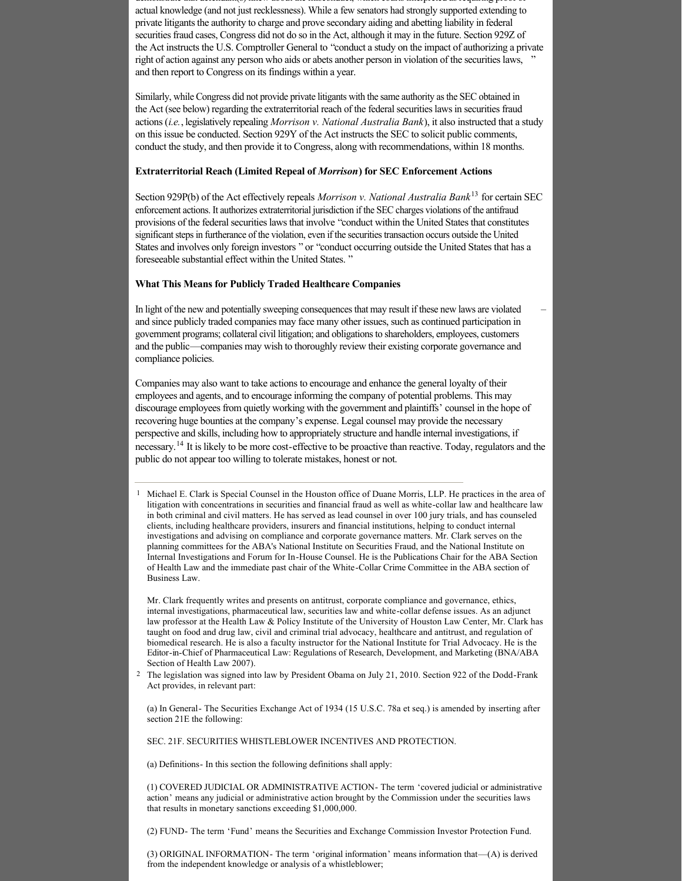demonstrate that defendant(s) knew about the misconduct, which courts interpreted as requiring proof of actual knowledge (and not just recklessness). While a few senators had strongly supported extending to private litigants the authority to charge and prove secondary aiding and abetting liability in federal securities fraud cases, Congress did not do so in the Act, although it may in the future. Section 929Z of the Act instructs the U.S. Comptroller General to "conduct a study on the impact of authorizing a private right of action against any person who aids or abets another person in violation of the securities laws, and then report to Congress on its findings within a year.

Similarly, while Congress did not provide private litigants with the same authority as the SEC obtained in the Act (see below) regarding the extraterritorial reach of the federal securities laws in securities fraud actions (*i.e.*, legislatively repealing *Morrison v. National Australia Bank*), it also instructed that a study on this issue be conducted. Section 929Y of the Act instructs the SEC to solicit public comments, conduct the study, and then provide it to Congress, along with recommendations, within 18 months.

### **Extraterritorial Reach (Limited Repeal of** *Morrison***) for SEC Enforcement Actions**

Section 929P(b) of the Act effectively repeals *Morrison v. National Australia Bank*[13](http://www.abanet.org/health/esource/Volume7/01/clark.html#_ftn13) for certain SEC enforcement actions. It authorizes extraterritorial jurisdiction if the SEC charges violations of the antifraud provisions of the federal securities laws that involve "conduct within the United States that constitutes significant steps in furtherance of the violation, even if the securities transaction occurs outside the United States and involves only foreign investors " or "conduct occurring outside the United States that has a foreseeable substantial effect within the United States. "

#### **What This Means for Publicly Traded Healthcare Companies**

In light of the new and potentially sweeping consequences that may result if these new laws are violated and since publicly traded companies may face many other issues, such as continued participation in government programs; collateral civil litigation; and obligations to shareholders, employees, customers and the public—companies may wish to thoroughly review their existing corporate governance and compliance policies.

Companies may also want to take actions to encourage and enhance the general loyalty of their employees and agents, and to encourage informing the company of potential problems. This may discourage employees from quietly working with the government and plaintiffs' counsel in the hope of recovering huge bounties at the company's expense. Legal counsel may provide the necessary perspective and skills, including how to appropriately structure and handle internal investigations, if necessary.<sup>[14](http://www.abanet.org/health/esource/Volume7/01/clark.html#_ftn14)</sup> It is likely to be more cost-effective to be proactive than reactive. Today, regulators and the public do not appear too willing to tolerate mistakes, honest or not.

[1](http://www.abanet.org/health/esource/Volume7/01/clark.html#_ftnref1) Michael E. Clark is Special Counsel in the Houston office of Duane Morris, LLP. He practices in the area of litigation with concentrations in securities and financial fraud as well as white-collar law and healthcare law in both criminal and civil matters. He has served as lead counsel in over 100 jury trials, and has counseled clients, including healthcare providers, insurers and financial institutions, helping to conduct internal investigations and advising on compliance and corporate governance matters. Mr. Clark serves on the planning committees for the ABA's National Institute on Securities Fraud, and the National Institute on Internal Investigations and Forum for In-House Counsel. He is the Publications Chair for the ABA Section of Health Law and the immediate past chair of the White-Collar Crime Committee in the ABA section of Business Law.

Mr. Clark frequently writes and presents on antitrust, corporate compliance and governance, ethics, internal investigations, pharmaceutical law, securities law and white-collar defense issues. As an adjunct law professor at the Health Law & Policy Institute of the University of Houston Law Center, Mr. Clark has taught on food and drug law, civil and criminal trial advocacy, healthcare and antitrust, and regulation of biomedical research. He is also a faculty instructor for the National Institute for Trial Advocacy. He is the Editor-in-Chief of Pharmaceutical Law: Regulations of Research, Development, and Marketing (BNA/ABA Section of Health Law 2007).

<sup>[2](http://www.abanet.org/health/esource/Volume7/01/clark.html#_ftnref2)</sup> The legislation was signed into law by President Obama on July 21, 2010. Section 922 of the Dodd-Frank Act provides, in relevant part:

(a) In General The Securities Exchange Act of 1934 (15 U.S.C. 78a et seq.) is amended by inserting after section 21E the following:

SEC. 21F. SECURITIES WHISTLEBLOWER INCENTIVES AND PROTECTION.

(a) Definitions- In this section the following definitions shall apply:

(1) COVERED JUDICIAL OR ADMINISTRATIVE ACTION The term 'covered judicial or administrative action' means any judicial or administrative action brought by the Commission under the securities laws that results in monetary sanctions exceeding \$1,000,000.

(2) FUND- The term 'Fund' means the Securities and Exchange Commission Investor Protection Fund.

(3) ORIGINAL INFORMATION The term 'original information' means information that  $-(A)$  is derived from the independent knowledge or analysis of a whistleblower;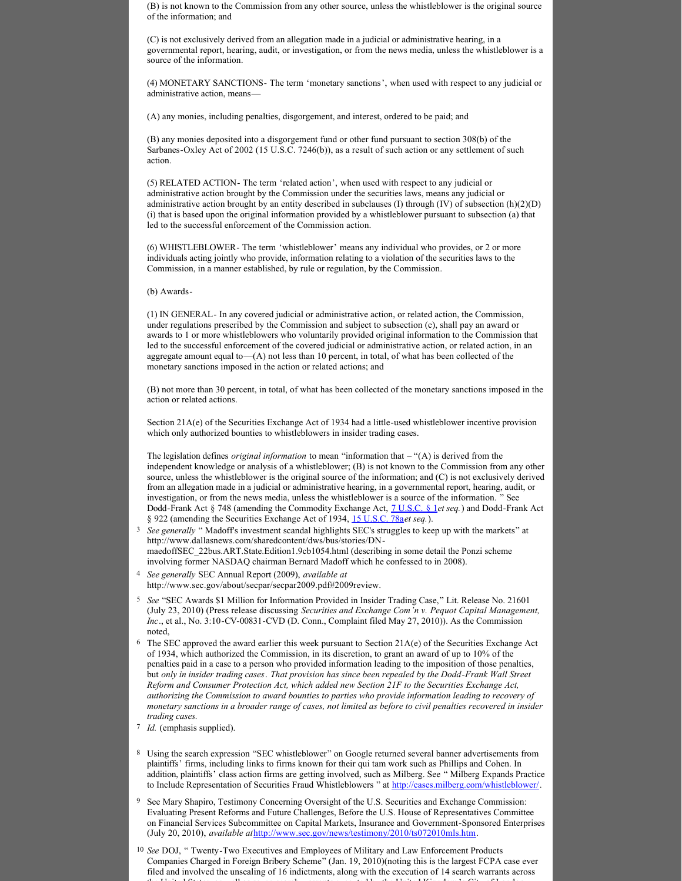(B) is not known to the Commission from any other source, unless the whistleblower is the original source of the information; and

(C) is not exclusively derived from an allegation made in a judicial or administrative hearing, in a governmental report, hearing, audit, or investigation, or from the news media, unless the whistleblower is a source of the information.

(4) MONETARY SANCTIONS- The term 'monetary sanctions', when used with respect to any judicial or administrative action, means—

(A) any monies, including penalties, disgorgement, and interest, ordered to be paid; and

(B) any monies deposited into a disgorgement fund or other fund pursuant to section 308(b) of the Sarbanes-Oxley Act of 2002 (15 U.S.C. 7246(b)), as a result of such action or any settlement of such action.

(5) RELATED ACTION- The term 'related action', when used with respect to any judicial or administrative action brought by the Commission under the securities laws, means any judicial or administrative action brought by an entity described in subclauses (I) through  $(IV)$  of subsection  $(h)(2)(D)$ (i) that is based upon the original information provided by a whistleblower pursuant to subsection (a) that led to the successful enforcement of the Commission action.

(6) WHISTLEBLOWER- The term 'whistleblower' means any individual who provides, or 2 or more individuals acting jointly who provide, information relating to a violation of the securities laws to the Commission, in a manner established, by rule or regulation, by the Commission.

#### (b) Awards

(1) IN GENERAL In any covered judicial or administrative action, or related action, the Commission, under regulations prescribed by the Commission and subject to subsection (c), shall pay an award or awards to 1 or more whistleblowers who voluntarily provided original information to the Commission that led to the successful enforcement of the covered judicial or administrative action, or related action, in an aggregate amount equal to—(A) not less than 10 percent, in total, of what has been collected of the monetary sanctions imposed in the action or related actions; and

(B) not more than 30 percent, in total, of what has been collected of the monetary sanctions imposed in the action or related actions.

Section 21A(e) of the Securities Exchange Act of 1934 had a little-used whistleblower incentive provision which only authorized bounties to whistleblowers in insider trading cases.

The legislation defines *original information* to mean "information that – "(A) is derived from the independent knowledge or analysis of a whistleblower; (B) is not known to the Commission from any other source, unless the whistleblower is the original source of the information; and (C) is not exclusively derived from an allegation made in a judicial or administrative hearing, in a governmental report, hearing, audit, or investigation, or from the news media, unless the whistleblower is a source of the information. " See Dodd-Frank Act § 748 (amending the Commodity Exchange Act, <u>[7 U.S.C. §](http://www.jureeka.net/Jureeka/US.aspx?doc=U.S.C.&vol=7&sec=1&sec2=undefined&sec3=undefined&sec4=undefined&bUrl=http://www.duanemorris.com/alerts/financial_reform_new_whistleblower_incentives_protections_3772.html) 1</u>et seq.) and Dodd-Frank Act § 922 (amending the Securities Exchange Act of 1934, [15 U.S.C. 78a](http://www.jureeka.net/Jureeka/US.aspx?doc=U.S.C.&vol=15&sec=78&sec2=a&sec3=undefined&sec4=undefined&bUrl=http://www.duanemorris.com/alerts/financial_reform_new_whistleblower_incentives_protections_3772.html)*et seq.*).

- <sup>[3](http://www.abanet.org/health/esource/Volume7/01/clark.html#_ftnref3)</sup> See generally " Madoff's investment scandal highlights SEC's struggles to keep up with the markets" at http://www.dallasnews.com/sharedcontent/dws/bus/stories/DNmaedoffSEC\_22bus.ART.State.Edition1.9cb1054.html (describing in some detail the Ponzi scheme involving former NASDAQ chairman Bernard Madoff which he confessed to in 2008).
- [4](http://www.abanet.org/health/esource/Volume7/01/clark.html#_ftnref4) *See generally* SEC Annual Report (2009), *available at* http://www.sec.gov/about/secpar/secpar2009.pdf#2009review.
- [5](http://www.abanet.org/health/esource/Volume7/01/clark.html#_ftnref5) *See* "SEC Awards \$1 Million for Information Provided in Insider Trading Case," Lit. Release No. 21601 (July 23, 2010) (Press release discussing *Securities and Exchange Com'n v. Pequot Capital Management,*  Inc., et al., No. 3:10-CV-00831-CVD (D. Conn., Complaint filed May 27, 2010)). As the Commission noted,
- [6](http://www.abanet.org/health/esource/Volume7/01/clark.html#_ftnref6) The SEC approved the award earlier this week pursuant to Section 21A(e) of the Securities Exchange Act of 1934, which authorized the Commission, in its discretion, to grant an award of up to 10% of the penalties paid in a case to a person who provided information leading to the imposition of those penalties, but only in insider trading cases. That provision has since been repealed by the Dodd-Frank Wall Street *Reform and Consumer Protection Act, which added new Section 21F to the Securities Exchange Act, authorizing the Commission to award bounties to parties who provide information leading to recovery of monetary sanctions in a broader range of cases, not limited as before to civil penalties recovered in insider trading cases.*
- [7](http://www.abanet.org/health/esource/Volume7/01/clark.html#_ftnref7) *Id.* (emphasis supplied).
- [8](http://www.abanet.org/health/esource/Volume7/01/clark.html#_ftnref8) Using the search expression "SEC whistleblower" on Google returned several banner advertisements from plaintiffs' firms, including links to firms known for their qui tam work such as Phillips and Cohen. In addition, plaintiffs' class action firms are getting involved, such as Milberg. See " Milberg Expands Practice to Include Representation of Securities Fraud Whistleblowers " at [http://cases.milberg.com/whistleblower/.](http://cases.milberg.com/whistleblower/)
- [9](http://www.abanet.org/health/esource/Volume7/01/clark.html#_ftnref9) See Mary Shapiro, Testimony Concerning Oversight of the U.S. Securities and Exchange Commission: Evaluating Present Reforms and Future Challenges, Before the U.S. House of Representatives Committee on Financial Services Subcommittee on Capital Markets, Insurance and Government-Sponsored Enterprises (July 20, 2010), *available at*[http://www.sec.gov/news/testimony/2010/ts072010mls.htm.](http://www.sec.gov/news/testimony/2010/ts072010mls.htm)
- <sup>[10](http://www.abanet.org/health/esource/Volume7/01/clark.html#_ftnref10)</sup> See DOJ, " Twenty-Two Executives and Employees of Military and Law Enforcement Products Companies Charged in Foreign Bribery Scheme" (Jan. 19, 2010)(noting this is the largest FCPA case ever filed and involved the unsealing of 16 indictments, along with the execution of 14 search warrants across the United States, as well as seven search warrants executed by the United Kingdom's City of London